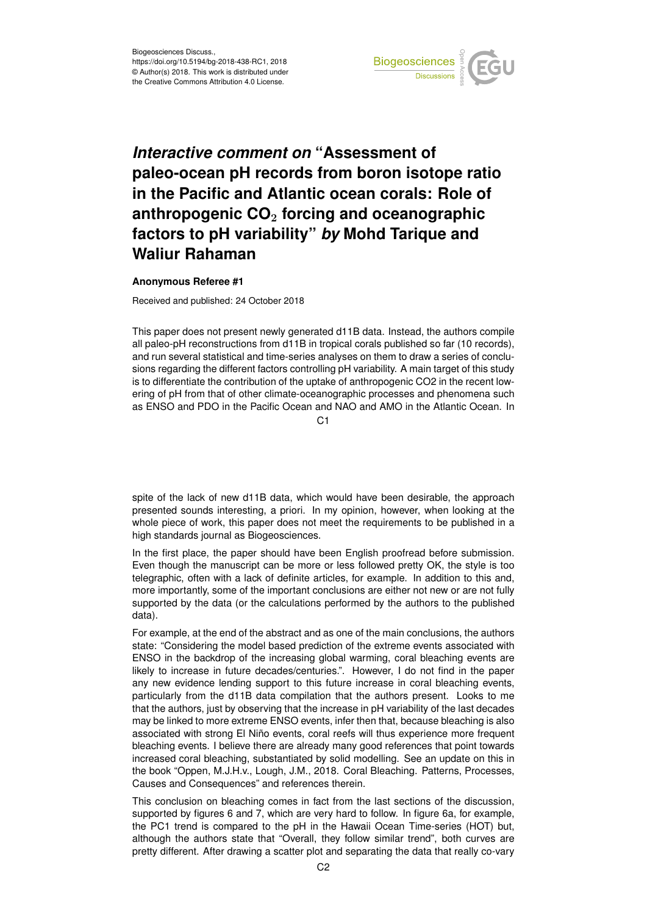

## *Interactive comment on* **"Assessment of paleo-ocean pH records from boron isotope ratio in the Pacific and Atlantic ocean corals: Role of anthropogenic CO**<sup>2</sup> **forcing and oceanographic factors to pH variability"** *by* **Mohd Tarique and Waliur Rahaman**

## **Anonymous Referee #1**

Received and published: 24 October 2018

This paper does not present newly generated d11B data. Instead, the authors compile all paleo-pH reconstructions from d11B in tropical corals published so far (10 records), and run several statistical and time-series analyses on them to draw a series of conclusions regarding the different factors controlling pH variability. A main target of this study is to differentiate the contribution of the uptake of anthropogenic CO2 in the recent lowering of pH from that of other climate-oceanographic processes and phenomena such as ENSO and PDO in the Pacific Ocean and NAO and AMO in the Atlantic Ocean. In

 $C<sub>1</sub>$ 

spite of the lack of new d11B data, which would have been desirable, the approach presented sounds interesting, a priori. In my opinion, however, when looking at the whole piece of work, this paper does not meet the requirements to be published in a high standards journal as Biogeosciences.

In the first place, the paper should have been English proofread before submission. Even though the manuscript can be more or less followed pretty OK, the style is too telegraphic, often with a lack of definite articles, for example. In addition to this and, more importantly, some of the important conclusions are either not new or are not fully supported by the data (or the calculations performed by the authors to the published data).

For example, at the end of the abstract and as one of the main conclusions, the authors state: "Considering the model based prediction of the extreme events associated with ENSO in the backdrop of the increasing global warming, coral bleaching events are likely to increase in future decades/centuries.". However, I do not find in the paper any new evidence lending support to this future increase in coral bleaching events, particularly from the d11B data compilation that the authors present. Looks to me that the authors, just by observing that the increase in pH variability of the last decades may be linked to more extreme ENSO events, infer then that, because bleaching is also associated with strong El Niño events, coral reefs will thus experience more frequent bleaching events. I believe there are already many good references that point towards increased coral bleaching, substantiated by solid modelling. See an update on this in the book "Oppen, M.J.H.v., Lough, J.M., 2018. Coral Bleaching. Patterns, Processes, Causes and Consequences" and references therein.

This conclusion on bleaching comes in fact from the last sections of the discussion, supported by figures 6 and 7, which are very hard to follow. In figure 6a, for example, the PC1 trend is compared to the pH in the Hawaii Ocean Time-series (HOT) but, although the authors state that "Overall, they follow similar trend", both curves are pretty different. After drawing a scatter plot and separating the data that really co-vary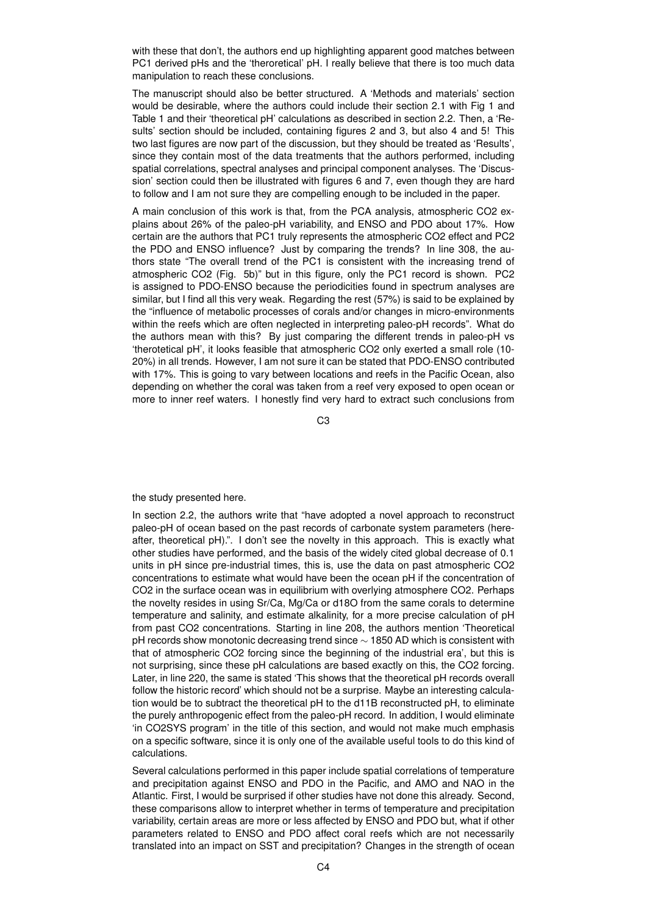with these that don't, the authors end up highlighting apparent good matches between PC1 derived pHs and the 'theroretical' pH. I really believe that there is too much data manipulation to reach these conclusions.

The manuscript should also be better structured. A 'Methods and materials' section would be desirable, where the authors could include their section 2.1 with Fig 1 and Table 1 and their 'theoretical pH' calculations as described in section 2.2. Then, a 'Results' section should be included, containing figures 2 and 3, but also 4 and 5! This two last figures are now part of the discussion, but they should be treated as 'Results', since they contain most of the data treatments that the authors performed, including spatial correlations, spectral analyses and principal component analyses. The 'Discussion' section could then be illustrated with figures 6 and 7, even though they are hard to follow and I am not sure they are compelling enough to be included in the paper.

A main conclusion of this work is that, from the PCA analysis, atmospheric CO2 explains about 26% of the paleo-pH variability, and ENSO and PDO about 17%. How certain are the authors that PC1 truly represents the atmospheric CO2 effect and PC2 the PDO and ENSO influence? Just by comparing the trends? In line 308, the authors state "The overall trend of the PC1 is consistent with the increasing trend of atmospheric CO2 (Fig. 5b)" but in this figure, only the PC1 record is shown. PC2 is assigned to PDO-ENSO because the periodicities found in spectrum analyses are similar, but I find all this very weak. Regarding the rest (57%) is said to be explained by the "influence of metabolic processes of corals and/or changes in micro-environments within the reefs which are often neglected in interpreting paleo-pH records". What do the authors mean with this? By just comparing the different trends in paleo-pH vs 'therotetical pH', it looks feasible that atmospheric CO2 only exerted a small role (10- 20%) in all trends. However, I am not sure it can be stated that PDO-ENSO contributed with 17%. This is going to vary between locations and reefs in the Pacific Ocean, also depending on whether the coral was taken from a reef very exposed to open ocean or more to inner reef waters. I honestly find very hard to extract such conclusions from

C3

the study presented here.

In section 2.2, the authors write that "have adopted a novel approach to reconstruct paleo-pH of ocean based on the past records of carbonate system parameters (hereafter, theoretical pH).". I don't see the novelty in this approach. This is exactly what other studies have performed, and the basis of the widely cited global decrease of 0.1 units in pH since pre-industrial times, this is, use the data on past atmospheric CO2 concentrations to estimate what would have been the ocean pH if the concentration of CO2 in the surface ocean was in equilibrium with overlying atmosphere CO2. Perhaps the novelty resides in using Sr/Ca, Mg/Ca or d18O from the same corals to determine temperature and salinity, and estimate alkalinity, for a more precise calculation of pH from past CO2 concentrations. Starting in line 208, the authors mention 'Theoretical pH records show monotonic decreasing trend since ∼ 1850 AD which is consistent with that of atmospheric CO2 forcing since the beginning of the industrial era', but this is not surprising, since these pH calculations are based exactly on this, the CO2 forcing. Later, in line 220, the same is stated 'This shows that the theoretical pH records overall follow the historic record' which should not be a surprise. Maybe an interesting calculation would be to subtract the theoretical pH to the d11B reconstructed pH, to eliminate the purely anthropogenic effect from the paleo-pH record. In addition, I would eliminate 'in CO2SYS program' in the title of this section, and would not make much emphasis on a specific software, since it is only one of the available useful tools to do this kind of calculations.

Several calculations performed in this paper include spatial correlations of temperature and precipitation against ENSO and PDO in the Pacific, and AMO and NAO in the Atlantic. First, I would be surprised if other studies have not done this already. Second, these comparisons allow to interpret whether in terms of temperature and precipitation variability, certain areas are more or less affected by ENSO and PDO but, what if other parameters related to ENSO and PDO affect coral reefs which are not necessarily translated into an impact on SST and precipitation? Changes in the strength of ocean